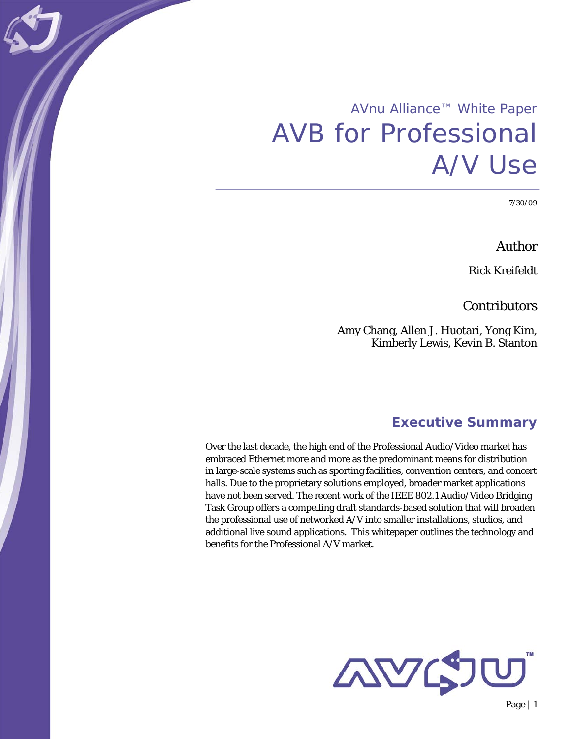# AVnu Alliance™ White Paper AVB for Professional A/V Use

7/30/09

Author

Rick Kreifeldt

Contributors

Amy Chang, Allen J. Huotari, Yong Kim, Kimberly Lewis, Kevin B. Stanton

## **Executive Summary**

Over the last decade, the high end of the Professional Audio/Video market has embraced Ethernet more and more as the predominant means for distribution in large-scale systems such as sporting facilities, convention centers, and concert halls. Due to the proprietary solutions employed, broader market applications have not been served. The recent work of the IEEE 802.1 Audio/Video Bridging Task Group offers a compelling draft standards-based solution that will broaden the professional use of networked A/V into smaller installations, studios, and additional live sound applications. This whitepaper outlines the technology and benefits for the Professional A/V market.

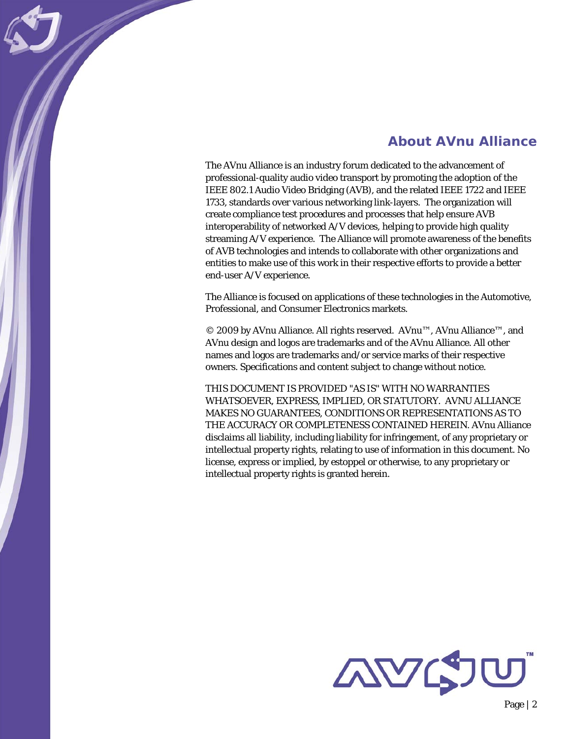# **About AVnu Alliance**

The AVnu Alliance is an industry forum dedicated to the advancement of professional-quality audio video transport by promoting the adoption of the IEEE 802.1 Audio Video Bridging (AVB), and the related IEEE 1722 and IEEE 1733, standards over various networking link-layers. The organization will create compliance test procedures and processes that help ensure AVB interoperability of networked A/V devices, helping to provide high quality streaming A/V experience. The Alliance will promote awareness of the benefits of AVB technologies and intends to collaborate with other organizations and entities to make use of this work in their respective efforts to provide a better end-user A/V experience.

The Alliance is focused on applications of these technologies in the Automotive, Professional, and Consumer Electronics markets.

© 2009 by AVnu Alliance. All rights reserved. AVnu™, AVnu Alliance™, and AVnu design and logos are trademarks and of the AVnu Alliance. All other names and logos are trademarks and/or service marks of their respective owners. Specifications and content subject to change without notice.

THIS DOCUMENT IS PROVIDED "AS IS" WITH NO WARRANTIES WHATSOEVER, EXPRESS, IMPLIED, OR STATUTORY. AVNU ALLIANCE MAKES NO GUARANTEES, CONDITIONS OR REPRESENTATIONS AS TO THE ACCURACY OR COMPLETENESS CONTAINED HEREIN. AVnu Alliance disclaims all liability, including liability for infringement, of any proprietary or intellectual property rights, relating to use of information in this document. No license, express or implied, by estoppel or otherwise, to any proprietary or intellectual property rights is granted herein.

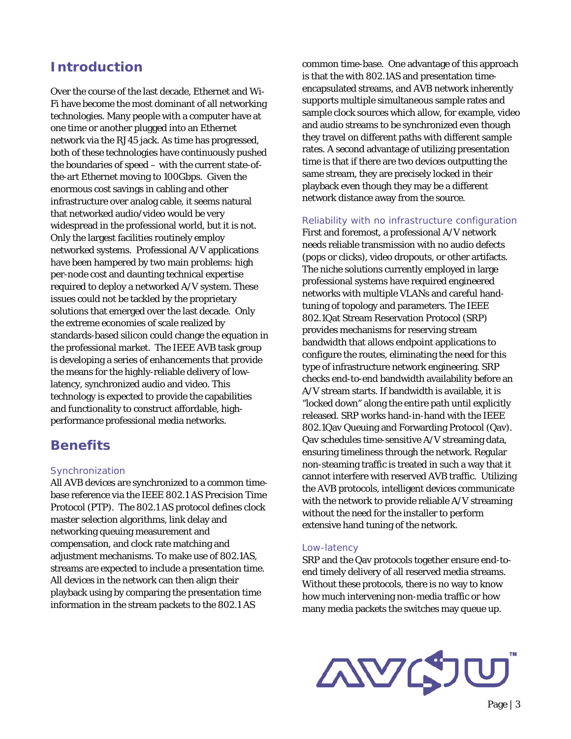# **Introduction**

Over the course of the last decade, Ethernet and Wi-Fi have become the most dominant of all networking technologies. Many people with a computer have at one time or another plugged into an Ethernet network via the RJ45 jack. As time has progressed, both of these technologies have continuously pushed the boundaries of speed – with the current state-ofthe-art Ethernet moving to 100Gbps. Given the enormous cost savings in cabling and other infrastructure over analog cable, it seems natural that networked audio/video would be very widespread in the professional world, but it is not. Only the largest facilities routinely employ networked systems. Professional A/V applications have been hampered by two main problems: high per-node cost and daunting technical expertise required to deploy a networked A/V system. These issues could not be tackled by the proprietary solutions that emerged over the last decade. Only the extreme economies of scale realized by standards-based silicon could change the equation in the professional market. The IEEE AVB task group is developing a series of enhancements that provide the means for the highly-reliable delivery of lowlatency, synchronized audio and video. This technology is expected to provide the capabilities and functionality to construct affordable, highperformance professional media networks.

## **Benefits**

### Synchronization

All AVB devices are synchronized to a common timebase reference via the IEEE 802.1 AS Precision Time Protocol (PTP). The 802.1 AS protocol defines clock master selection algorithms, link delay and networking queuing measurement and compensation, and clock rate matching and adjustment mechanisms. To make use of 802.1AS, streams are expected to include a presentation time. All devices in the network can then align their playback using by comparing the presentation time information in the stream packets to the 802.1 AS

common time-base. One advantage of this approach is that the with 802.1AS and presentation timeencapsulated streams, and AVB network inherently supports multiple simultaneous sample rates and sample clock sources which allow, for example, video and audio streams to be synchronized even though they travel on different paths with different sample rates. A second advantage of utilizing presentation time is that if there are two devices outputting the same stream, they are precisely locked in their playback even though they may be a different network distance away from the source.

#### Reliability with no infrastructure configuration

First and foremost, a professional A/V network needs reliable transmission with no audio defects (pops or clicks), video dropouts, or other artifacts. The niche solutions currently employed in large professional systems have required engineered networks with multiple VLANs and careful handtuning of topology and parameters. The IEEE 802.1Qat Stream Reservation Protocol (SRP) provides mechanisms for reserving stream bandwidth that allows endpoint applications to configure the routes, eliminating the need for this type of infrastructure network engineering. SRP checks end-to-end bandwidth availability before an A/V stream starts. If bandwidth is available, it is "locked down" along the entire path until explicitly released. SRP works hand-in-hand with the IEEE 802.1Qav Queuing and Forwarding Protocol (Qav). Qav schedules time-sensitive A/V streaming data, ensuring timeliness through the network. Regular non-steaming traffic is treated in such a way that it cannot interfere with reserved AVB traffic. Utilizing the AVB protocols, intelligent devices communicate with the network to provide reliable A/V streaming without the need for the installer to perform extensive hand tuning of the network.

#### Low-latency

SRP and the Qav protocols together ensure end-toend timely delivery of all reserved media streams. Without these protocols, there is no way to know how much intervening non-media traffic or how many media packets the switches may queue up.

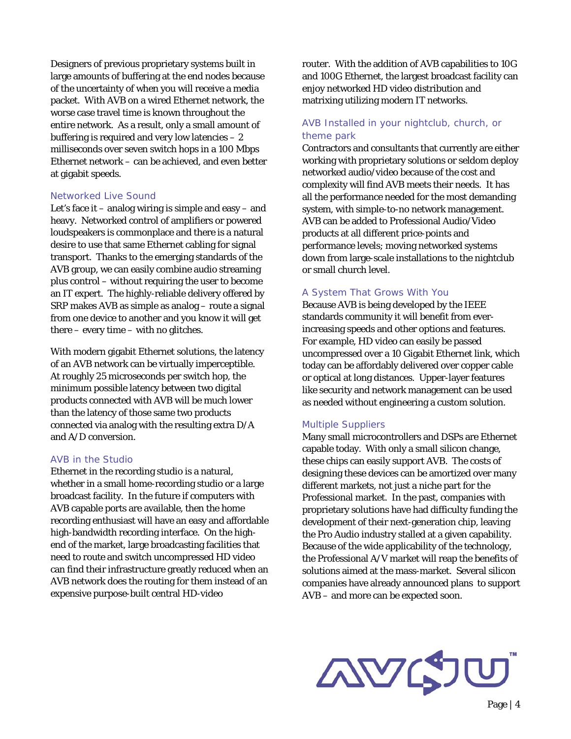Designers of previous proprietary systems built in large amounts of buffering at the end nodes because of the uncertainty of when you will receive a media packet. With AVB on a wired Ethernet network, the worse case travel time is known throughout the entire network. As a result, only a small amount of buffering is required and very low latencies  $-2$ milliseconds over seven switch hops in a 100 Mbps Ethernet network – can be achieved, and even better at gigabit speeds.

#### Networked Live Sound

Let's face it – analog wiring is simple and easy – and heavy. Networked control of amplifiers or powered loudspeakers is commonplace and there is a natural desire to use that same Ethernet cabling for signal transport. Thanks to the emerging standards of the AVB group, we can easily combine audio streaming plus control – without requiring the user to become an IT expert. The highly-reliable delivery offered by SRP makes AVB as simple as analog – route a signal from one device to another and you know it will get there – every time – with no glitches.

With modern gigabit Ethernet solutions, the latency of an AVB network can be virtually imperceptible. At roughly 25 microseconds per switch hop, the minimum possible latency between two digital products connected with AVB will be much lower than the latency of those same two products connected via analog with the resulting extra D/A and A/D conversion.

#### AVB in the Studio

Ethernet in the recording studio is a natural, whether in a small home-recording studio or a large broadcast facility. In the future if computers with AVB capable ports are available, then the home recording enthusiast will have an easy and affordable high-bandwidth recording interface. On the highend of the market, large broadcasting facilities that need to route and switch uncompressed HD video can find their infrastructure greatly reduced when an AVB network does the routing for them instead of an expensive purpose-built central HD-video

router. With the addition of AVB capabilities to 10G and 100G Ethernet, the largest broadcast facility can enjoy networked HD video distribution and matrixing utilizing modern IT networks.

## AVB Installed in your nightclub, church, or theme park

Contractors and consultants that currently are either working with proprietary solutions or seldom deploy networked audio/video because of the cost and complexity will find AVB meets their needs. It has all the performance needed for the most demanding system, with simple-to-no network management. AVB can be added to Professional Audio/Video products at all different price-points and performance levels; moving networked systems down from large-scale installations to the nightclub or small church level.

#### A System That Grows With You

Because AVB is being developed by the IEEE standards community it will benefit from everincreasing speeds and other options and features. For example, HD video can easily be passed uncompressed over a 10 Gigabit Ethernet link, which today can be affordably delivered over copper cable or optical at long distances. Upper-layer features like security and network management can be used as needed without engineering a custom solution.

#### Multiple Suppliers

Many small microcontrollers and DSPs are Ethernet capable today. With only a small silicon change, these chips can easily support AVB. The costs of designing these devices can be amortized over many different markets, not just a niche part for the Professional market. In the past, companies with proprietary solutions have had difficulty funding the development of their next-generation chip, leaving the Pro Audio industry stalled at a given capability. Because of the wide applicability of the technology, the Professional A/V market will reap the benefits of solutions aimed at the mass-market. Several silicon companies have already announced plans to support AVB – and more can be expected soon.